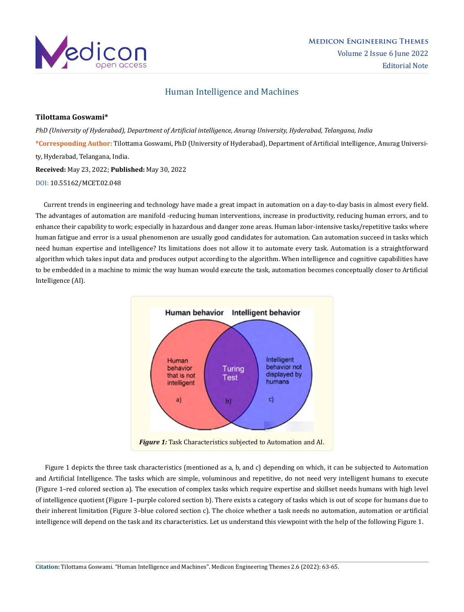

# Human Intelligence and Machines

### **Tilottama Goswami\***

*PhD (University of Hyderabad), Department of Artificial intelligence, Anurag University, Hyderabad, Telangana, India* **\*Corresponding Author:** Tilottama Goswami, PhD (University of Hyderabad), Department of Artificial intelligence, Anurag University, Hyderabad, Telangana, India. **Received:** May 23, 2022; **Published:** May 30, 2022

DOI: [10.55162/MCET.02.048](https://doi.org/10.55162/MCET.02.048)

 Current trends in engineering and technology have made a great impact in automation on a day-to-day basis in almost every field. The advantages of automation are manifold -reducing human interventions, increase in productivity, reducing human errors, and to enhance their capability to work; especially in hazardous and danger zone areas. Human labor-intensive tasks/repetitive tasks where human fatigue and error is a usual phenomenon are usually good candidates for automation. Can automation succeed in tasks which need human expertise and intelligence? Its limitations does not allow it to automate every task. Automation is a straightforward algorithm which takes input data and produces output according to the algorithm. When intelligence and cognitive capabilities have to be embedded in a machine to mimic the way human would execute the task, automation becomes conceptually closer to Artificial Intelligence (AI).



 Figure 1 depicts the three task characteristics (mentioned as a, b, and c) depending on which, it can be subjected to Automation and Artificial Intelligence. The tasks which are simple, voluminous and repetitive, do not need very intelligent humans to execute (Figure 1–red colored section a). The execution of complex tasks which require expertise and skillset needs humans with high level of intelligence quotient (Figure 1–purple colored section b). There exists a category of tasks which is out of scope for humans due to their inherent limitation (Figure 3–blue colored section c). The choice whether a task needs no automation, automation or artificial intelligence will depend on the task and its characteristics. Let us understand this viewpoint with the help of the following Figure 1.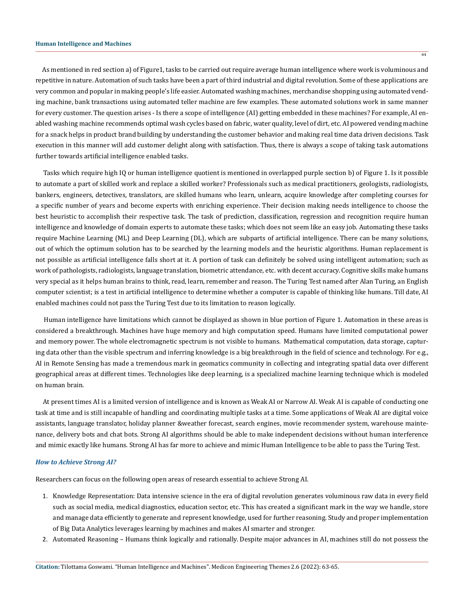#### **Human Intelligence and Machines**

 As mentioned in red section a) of Figure1, tasks to be carried out require average human intelligence where work is voluminous and repetitive in nature. Automation of such tasks have been a part of third industrial and digital revolution. Some of these applications are very common and popular in making people's life easier. Automated washing machines, merchandise shopping using automated vending machine, bank transactions using automated teller machine are few examples. These automated solutions work in same manner for every customer. The question arises - Is there a scope of intelligence (AI) getting embedded in these machines? For example, AI enabled washing machine recommends optimal wash cycles based on fabric, water quality, level of dirt, etc. AI powered vending machine for a snack helps in product brand building by understanding the customer behavior and making real time data driven decisions. Task execution in this manner will add customer delight along with satisfaction. Thus, there is always a scope of taking task automations further towards artificial intelligence enabled tasks.

 Tasks which require high IQ or human intelligence quotient is mentioned in overlapped purple section b) of Figure 1. Is it possible to automate a part of skilled work and replace a skilled worker? Professionals such as medical practitioners, geologists, radiologists, bankers, engineers, detectives, translators, are skilled humans who learn, unlearn, acquire knowledge after completing courses for a specific number of years and become experts with enriching experience. Their decision making needs intelligence to choose the best heuristic to accomplish their respective task. The task of prediction, classification, regression and recognition require human intelligence and knowledge of domain experts to automate these tasks; which does not seem like an easy job. Automating these tasks require Machine Learning (ML) and Deep Learning (DL), which are subparts of artificial intelligence. There can be many solutions, out of which the optimum solution has to be searched by the learning models and the heuristic algorithms. Human replacement is not possible as artificial intelligence falls short at it. A portion of task can definitely be solved using intelligent automation; such as work of pathologists, radiologists, language translation, biometric attendance, etc. with decent accuracy. Cognitive skills make humans very special as it helps human brains to think, read, learn, remember and reason. The Turing Test named after Alan Turing, an English computer scientist; is a test in artificial intelligence to determine whether a computer is capable of thinking like humans. Till date, AI enabled machines could not pass the Turing Test due to its limitation to reason logically.

 Human intelligence have limitations which cannot be displayed as shown in blue portion of Figure 1. Automation in these areas is considered a breakthrough. Machines have huge memory and high computation speed. Humans have limited computational power and memory power. The whole electromagnetic spectrum is not visible to humans. Mathematical computation, data storage, capturing data other than the visible spectrum and inferring knowledge is a big breakthrough in the field of science and technology. For e.g., AI in Remote Sensing has made a tremendous mark in geomatics community in collecting and integrating spatial data over different geographical areas at different times. Technologies like deep learning, is a specialized machine learning technique which is modeled on human brain.

 At present times AI is a limited version of intelligence and is known as Weak AI or Narrow AI. Weak AI is capable of conducting one task at time and is still incapable of handling and coordinating multiple tasks at a time. Some applications of Weak AI are digital voice assistants, language translator, holiday planner &weather forecast, search engines, movie recommender system, warehouse maintenance, delivery bots and chat bots. Strong AI algorithms should be able to make independent decisions without human interference and mimic exactly like humans. Strong AI has far more to achieve and mimic Human Intelligence to be able to pass the Turing Test.

#### *How to Achieve Strong AI?*

Researchers can focus on the following open areas of research essential to achieve Strong AI.

- 1. Knowledge Representation: Data intensive science in the era of digital revolution generates voluminous raw data in every field such as social media, medical diagnostics, education sector, etc. This has created a significant mark in the way we handle, store and manage data efficiently to generate and represent knowledge, used for further reasoning. Study and proper implementation of Big Data Analytics leverages learning by machines and makes AI smarter and stronger.
- 2. Automated Reasoning Humans think logically and rationally. Despite major advances in AI, machines still do not possess the

64